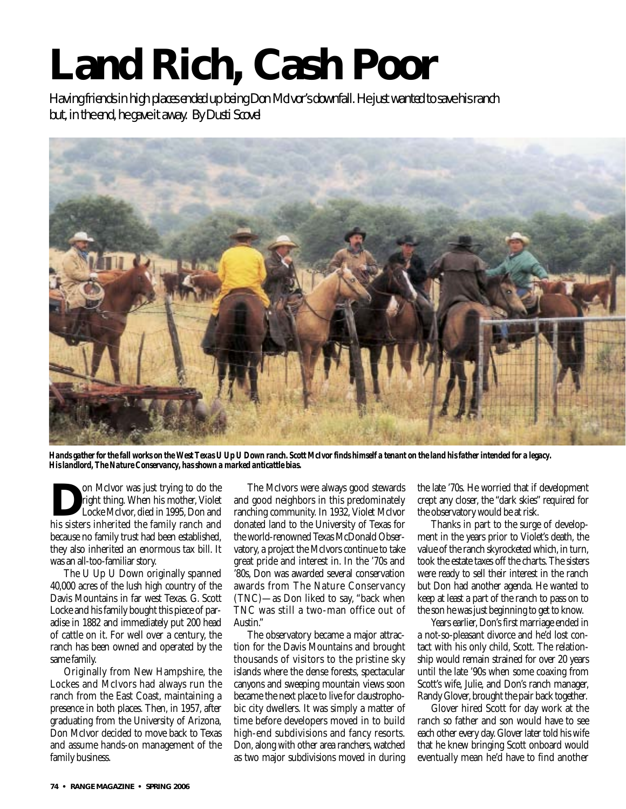## **Land Rich, Cash Poor**

*Having friends in high places ended up being Don McIvor's downfall. He just wanted to save his ranch but, in the end, he gave it away. By Dusti Scovel*



*Hands gather for the fall works on the West Texas U Up U Down ranch. Scott McIvor finds himself a tenant on the land his father intended for a legacy. His landlord, The Nature Conservancy, has shown a marked anticattle bias.* 

**Dom** McIvor was just trying to do the<br>right thing. When his mother, Violet<br>Locke McIvor, died in 1995, Don and<br>his sisters inherited the family ranch and right thing. When his mother, Violet Locke McIvor, died in 1995, Don and his sisters inherited the family ranch and because no family trust had been established, they also inherited an enormous tax bill. It was an all-too-familiar story.

The U Up U Down originally spanned 40,000 acres of the lush high country of the Davis Mountains in far west Texas. G. Scott Locke and his family bought this piece of paradise in 1882 and immediately put 200 head of cattle on it. For well over a century, the ranch has been owned and operated by the same family.

Originally from New Hampshire, the Lockes and McIvors had always run the ranch from the East Coast, maintaining a presence in both places. Then, in 1957, after graduating from the University of Arizona, Don McIvor decided to move back to Texas and assume hands-on management of the family business.

The McIvors were always good stewards and good neighbors in this predominately ranching community. In 1932, Violet McIvor donated land to the University of Texas for the world-renowned Texas McDonald Observatory, a project the McIvors continue to take great pride and interest in. In the '70s and '80s, Don was awarded several conservation awards from The Nature Conservancy (TNC)—as Don liked to say, "back when TNC was still a two-man office out of Austin."

The observatory became a major attraction for the Davis Mountains and brought thousands of visitors to the pristine sky islands where the dense forests, spectacular canyons and sweeping mountain views soon became the next place to live for claustrophobic city dwellers. It was simply a matter of time before developers moved in to build high-end subdivisions and fancy resorts. Don, along with other area ranchers, watched as two major subdivisions moved in during

the late '70s. He worried that if development crept any closer, the "dark skies" required for the observatory would be at risk.

Thanks in part to the surge of development in the years prior to Violet's death, the value of the ranch skyrocketed which, in turn, took the estate taxes off the charts. The sisters were ready to sell their interest in the ranch but Don had another agenda. He wanted to keep at least a part of the ranch to pass on to the son he was just beginning to get to know.

Years earlier, Don's first marriage ended in a not-so-pleasant divorce and he'd lost contact with his only child, Scott. The relationship would remain strained for over 20 years until the late '90s when some coaxing from Scott's wife, Julie, and Don's ranch manager, Randy Glover, brought the pair back together.

Glover hired Scott for day work at the ranch so father and son would have to see each other every day. Glover later told his wife that he knew bringing Scott onboard would eventually mean he'd have to find another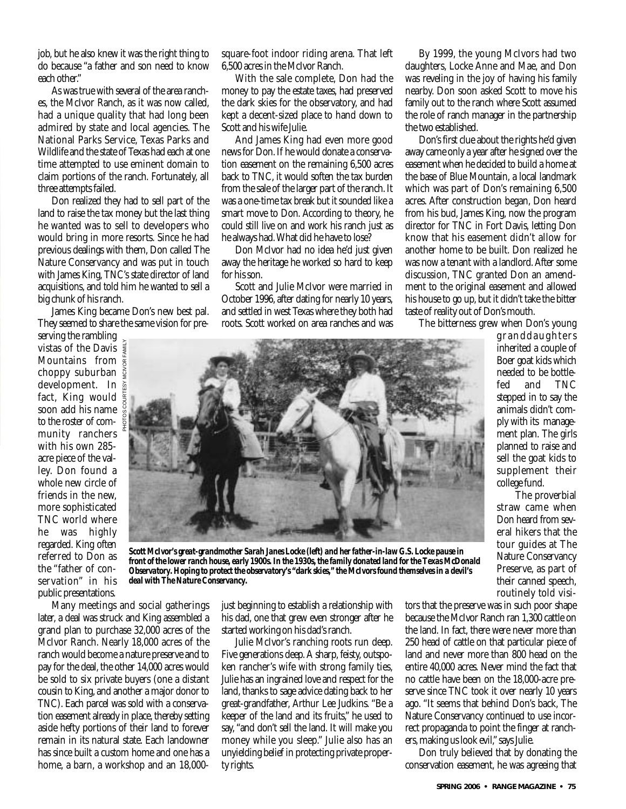job, but he also knew it was the right thing to do because "a father and son need to know each other"

As was true with several of the area ranches, the McIvor Ranch, as it was now called, had a unique quality that had long been admired by state and local agencies. The National Parks Service, Texas Parks and Wildlife and the state of Texas had each at one time attempted to use eminent domain to claim portions of the ranch. Fortunately, all three attempts failed.

Don realized they had to sell part of the land to raise the tax money but the last thing he wanted was to sell to developers who would bring in more resorts. Since he had previous dealings with them, Don called The Nature Conservancy and was put in touch with James King, TNC's state director of land acquisitions, and told him he wanted to sell a big chunk of his ranch.

James King became Don's new best pal. They seemed to share the same vision for pre-

PHOTOS COURTESY MCIVOR FAMILY

serving the rambling vistas of the Davis Mountains from choppy suburban development. In fact, King would soon add his name to the roster of community ranchers with his own 285 acre piece of the valley. Don found a whole new circle of friends in the new, more sophisticated TNC world where he was highly regarded. King often referred to Don as the "father of conservation" in his public presentations.

square-foot indoor riding arena. That left 6,500 acres in the McIvor Ranch.

With the sale complete, Don had the money to pay the estate taxes, had preserved the dark skies for the observatory, and had kept a decent-sized place to hand down to Scott and his wife Julie.

And James King had even more good news for Don. If he would donate a conservation easement on the remaining 6,500 acres back to TNC, it would soften the tax burden from the sale of the larger part of the ranch. It was a one-time tax break but it sounded like a smart move to Don. According to theory, he could still live on and work his ranch just as he always had.What did he have to lose?

Don McIvor had no idea he'd just given away the heritage he worked so hard to keep for his son.

Scott and Julie McIvor were married in October 1996, after dating for nearly 10 years, and settled in west Texas where they both had roots. Scott worked on area ranches and was

By 1999, the young McIvors had two daughters, Locke Anne and Mae, and Don was reveling in the joy of having his family nearby. Don soon asked Scott to move his family out to the ranch where Scott assumed the role of ranch manager in the partnership the two established.

Don's first clue about the rights he'd given away came only a year after he signed over the easement when he decided to build a home at the base of Blue Mountain, a local landmark which was part of Don's remaining 6,500 acres. After construction began, Don heard from his bud, James King, now the program director for TNC in Fort Davis, letting Don know that his easement didn't allow for another home to be built. Don realized he was now a tenant with a landlord. After some discussion, TNC granted Don an amendment to the original easement and allowed his house to go up, but it didn't take the bitter taste of reality out of Don's mouth.

The bitterness grew when Don's young



*Scott McIvor's great-grandmother Sarah Janes Locke (left) and her father-in-law G.S. Locke pause in front of the lower ranch house, early 1900s. In the 1930s, the family donated land for the Texas McDonald Observatory. Hoping to protect the observatory's "dark skies," the McIvors found themselves in a devil's deal with The Nature Conservancy.*

Many meetings and social gatherings later, a deal was struck and King assembled a grand plan to purchase 32,000 acres of the McIvor Ranch. Nearly 18,000 acres of the ranch would become a nature preserve and to pay for the deal, the other 14,000 acres would be sold to six private buyers (one a distant cousin to King, and another a major donor to TNC). Each parcel was sold with a conservation easement already in place, thereby setting aside hefty portions of their land to forever remain in its natural state. Each landowner has since built a custom home and one has a home, a barn, a workshop and an 18,000just beginning to establish a relationship with his dad, one that grew even stronger after he started working on his dad's ranch.

Julie McIvor's ranching roots run deep. Five generations deep. A sharp, feisty, outspoken rancher's wife with strong family ties, Julie has an ingrained love and respect for the land, thanks to sage advice dating back to her great-grandfather, Arthur Lee Judkins. "Be a keeper of the land and its fruits," he used to say, "and don't sell the land. It will make you money while you sleep." Julie also has an unyielding belief in protecting private property rights.

fed and TNC stepped in to say the animals didn't comply with its management plan. The girls planned to raise and sell the goat kids to supplement their college fund. The proverbial straw came when Don heard from several hikers that the

granddaughters inherited a couple of Boer goat kids which needed to be bottle-

tour guides at The Nature Conservancy Preserve, as part of their canned speech, routinely told visi-

tors that the preserve was in such poor shape because the McIvor Ranch ran 1,300 cattle on the land. In fact, there were never more than 250 head of cattle on that particular piece of land and never more than 800 head on the entire 40,000 acres. Never mind the fact that no cattle have been on the 18,000-acre preserve since TNC took it over nearly 10 years ago. "It seems that behind Don's back, The Nature Conservancy continued to use incorrect propaganda to point the finger at ranchers, making us look evil,"says Julie.

Don truly believed that by donating the conservation easement, he was agreeing that